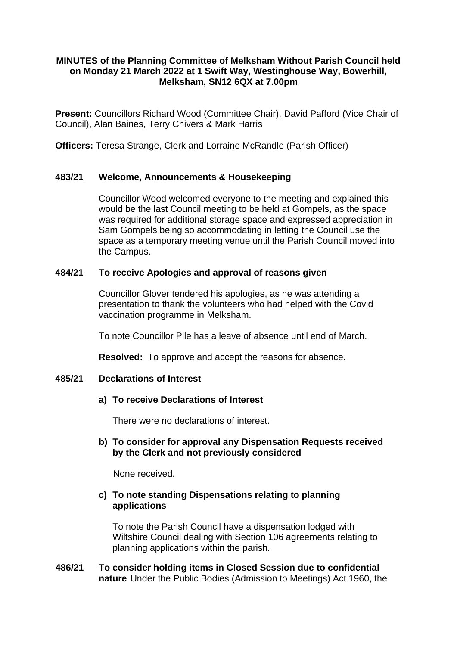# **MINUTES of the Planning Committee of Melksham Without Parish Council held on Monday 21 March 2022 at 1 Swift Way, Westinghouse Way, Bowerhill, Melksham, SN12 6QX at 7.00pm**

**Present:** Councillors Richard Wood (Committee Chair), David Pafford (Vice Chair of Council), Alan Baines, Terry Chivers & Mark Harris

**Officers:** Teresa Strange, Clerk and Lorraine McRandle (Parish Officer)

# **483/21 Welcome, Announcements & Housekeeping**

Councillor Wood welcomed everyone to the meeting and explained this would be the last Council meeting to be held at Gompels, as the space was required for additional storage space and expressed appreciation in Sam Gompels being so accommodating in letting the Council use the space as a temporary meeting venue until the Parish Council moved into the Campus.

#### **484/21 To receive Apologies and approval of reasons given**

Councillor Glover tendered his apologies, as he was attending a presentation to thank the volunteers who had helped with the Covid vaccination programme in Melksham.

To note Councillor Pile has a leave of absence until end of March.

**Resolved:** To approve and accept the reasons for absence.

#### **485/21 Declarations of Interest**

# **a) To receive Declarations of Interest**

There were no declarations of interest.

#### **b) To consider for approval any Dispensation Requests received by the Clerk and not previously considered**

None received.

#### **c) To note standing Dispensations relating to planning applications**

To note the Parish Council have a dispensation lodged with Wiltshire Council dealing with Section 106 agreements relating to planning applications within the parish.

#### **486/21 To consider holding items in Closed Session due to confidential nature** Under the Public Bodies (Admission to Meetings) Act 1960, the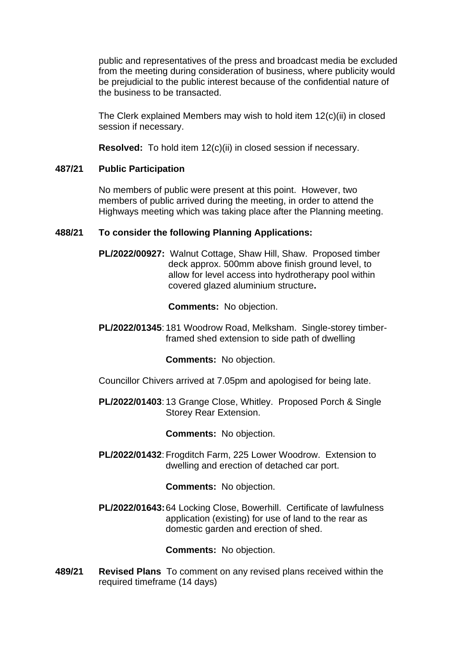public and representatives of the press and broadcast media be excluded from the meeting during consideration of business, where publicity would be prejudicial to the public interest because of the confidential nature of the business to be transacted.

The Clerk explained Members may wish to hold item 12(c)(ii) in closed session if necessary.

**Resolved:** To hold item 12(c)(ii) in closed session if necessary.

# **487/21 Public Participation**

No members of public were present at this point. However, two members of public arrived during the meeting, in order to attend the Highways meeting which was taking place after the Planning meeting.

# **488/21 To consider the following Planning Applications:**

**[PL/2022/00927:](https://development.wiltshire.gov.uk/pr/s/planning-application/a0i3z000017RruUAAS/pl202200927)** Walnut Cottage, Shaw Hill, Shaw. Proposed timber deck approx. 500mm above finish ground level, to allow for level access into hydrotherapy pool within covered glazed aluminium structure**.** 

**Comments:** No objection.

**PL/2022/01345**: 181 Woodrow Road, Melksham. Single-storey timberframed shed extension to side path of dwelling

# **Comments:** No objection.

- Councillor Chivers arrived at 7.05pm and apologised for being late.
- **PL/2022/01403**: 13 Grange Close, Whitley. Proposed Porch & Single Storey Rear Extension.

# **Comments:** No objection.

PL/2022/01432: Frogditch Farm, 225 Lower Woodrow. Extension to dwelling and erection of detached car port.

**Comments:** No objection.

**PL/2022/01643:**64 Locking Close, Bowerhill. Certificate of lawfulness application (existing) for use of land to the rear as domestic garden and erection of shed.

**Comments:** No objection.

**489/21 Revised Plans** To comment on any revised plans received within the required timeframe (14 days)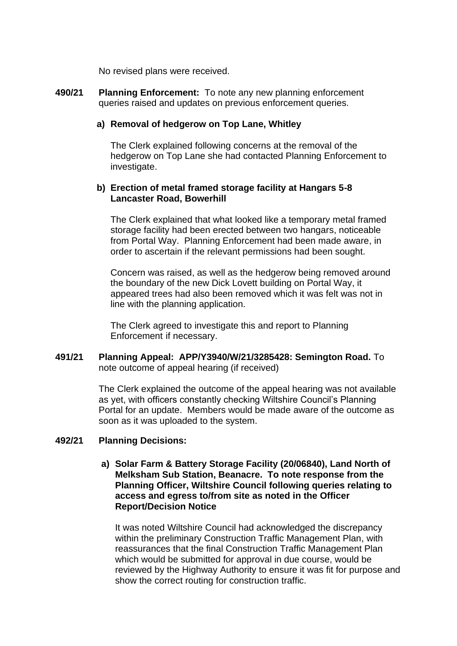No revised plans were received.

**490/21 Planning Enforcement:** To note any new planning enforcement queries raised and updates on previous enforcement queries.

#### **a) Removal of hedgerow on Top Lane, Whitley**

The Clerk explained following concerns at the removal of the hedgerow on Top Lane she had contacted Planning Enforcement to investigate.

#### **b) Erection of metal framed storage facility at Hangars 5-8 Lancaster Road, Bowerhill**

The Clerk explained that what looked like a temporary metal framed storage facility had been erected between two hangars, noticeable from Portal Way. Planning Enforcement had been made aware, in order to ascertain if the relevant permissions had been sought.

Concern was raised, as well as the hedgerow being removed around the boundary of the new Dick Lovett building on Portal Way, it appeared trees had also been removed which it was felt was not in line with the planning application.

The Clerk agreed to investigate this and report to Planning Enforcement if necessary.

**491/21 Planning Appeal: APP/Y3940/W/21/3285428: Semington Road.** To note outcome of appeal hearing (if received)

> The Clerk explained the outcome of the appeal hearing was not available as yet, with officers constantly checking Wiltshire Council's Planning Portal for an update. Members would be made aware of the outcome as soon as it was uploaded to the system.

#### **492/21 Planning Decisions:**

**a) Solar Farm & Battery Storage Facility (20/06840), Land North of Melksham Sub Station, Beanacre. To note response from the Planning Officer, Wiltshire Council following queries relating to access and egress to/from site as noted in the Officer Report/Decision Notice**

It was noted Wiltshire Council had acknowledged the discrepancy within the preliminary Construction Traffic Management Plan, with reassurances that the final Construction Traffic Management Plan which would be submitted for approval in due course, would be reviewed by the Highway Authority to ensure it was fit for purpose and show the correct routing for construction traffic.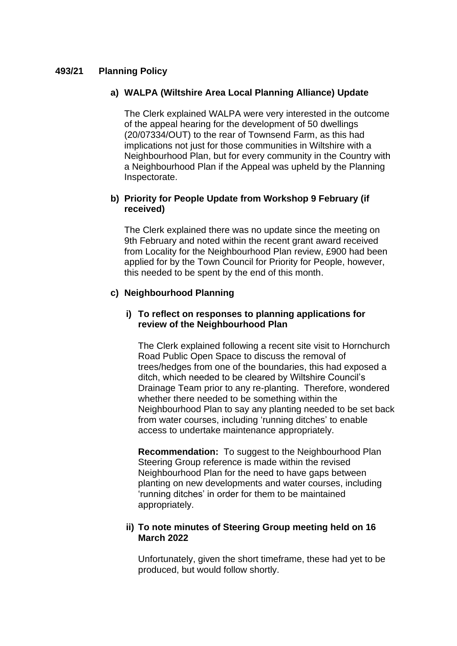# **493/21 Planning Policy**

# **a) WALPA (Wiltshire Area Local Planning Alliance) Update**

The Clerk explained WALPA were very interested in the outcome of the appeal hearing for the development of 50 dwellings (20/07334/OUT) to the rear of Townsend Farm, as this had implications not just for those communities in Wiltshire with a Neighbourhood Plan, but for every community in the Country with a Neighbourhood Plan if the Appeal was upheld by the Planning Inspectorate.

# **b) Priority for People Update from Workshop 9 February (if received)**

The Clerk explained there was no update since the meeting on 9th February and noted within the recent grant award received from Locality for the Neighbourhood Plan review, £900 had been applied for by the Town Council for Priority for People, however, this needed to be spent by the end of this month.

#### **c) Neighbourhood Planning**

#### **i) To reflect on responses to planning applications for review of the Neighbourhood Plan**

The Clerk explained following a recent site visit to Hornchurch Road Public Open Space to discuss the removal of trees/hedges from one of the boundaries, this had exposed a ditch, which needed to be cleared by Wiltshire Council's Drainage Team prior to any re-planting. Therefore, wondered whether there needed to be something within the Neighbourhood Plan to say any planting needed to be set back from water courses, including 'running ditches' to enable access to undertake maintenance appropriately.

**Recommendation:** To suggest to the Neighbourhood Plan Steering Group reference is made within the revised Neighbourhood Plan for the need to have gaps between planting on new developments and water courses, including 'running ditches' in order for them to be maintained appropriately.

# **ii) To note minutes of Steering Group meeting held on 16 March 2022**

Unfortunately, given the short timeframe, these had yet to be produced, but would follow shortly.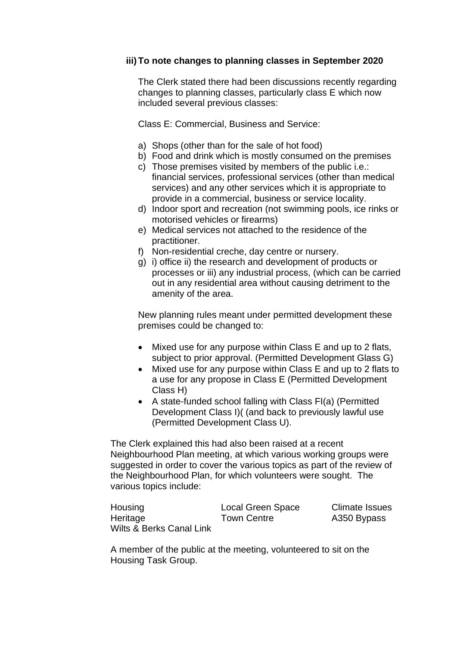# **iii)To note changes to planning classes in September 2020**

The Clerk stated there had been discussions recently regarding changes to planning classes, particularly class E which now included several previous classes:

Class E: Commercial, Business and Service:

- a) Shops (other than for the sale of hot food)
- b) Food and drink which is mostly consumed on the premises
- c) Those premises visited by members of the public i.e.: financial services, professional services (other than medical services) and any other services which it is appropriate to provide in a commercial, business or service locality.
- d) Indoor sport and recreation (not swimming pools, ice rinks or motorised vehicles or firearms)
- e) Medical services not attached to the residence of the practitioner.
- f) Non-residential creche, day centre or nursery.
- g) i) office ii) the research and development of products or processes or iii) any industrial process, (which can be carried out in any residential area without causing detriment to the amenity of the area.

New planning rules meant under permitted development these premises could be changed to:

- Mixed use for any purpose within Class E and up to 2 flats, subject to prior approval. (Permitted Development Glass G)
- Mixed use for any purpose within Class E and up to 2 flats to a use for any propose in Class E (Permitted Development Class H)
- A state-funded school falling with Class FI(a) (Permitted Development Class I)( (and back to previously lawful use (Permitted Development Class U).

The Clerk explained this had also been raised at a recent Neighbourhood Plan meeting, at which various working groups were suggested in order to cover the various topics as part of the review of the Neighbourhood Plan, for which volunteers were sought. The various topics include:

| Housing                  | Local Green Space  | <b>Climate Issues</b> |
|--------------------------|--------------------|-----------------------|
| Heritage                 | <b>Town Centre</b> | A350 Bypass           |
| Wilts & Berks Canal Link |                    |                       |

A member of the public at the meeting, volunteered to sit on the Housing Task Group.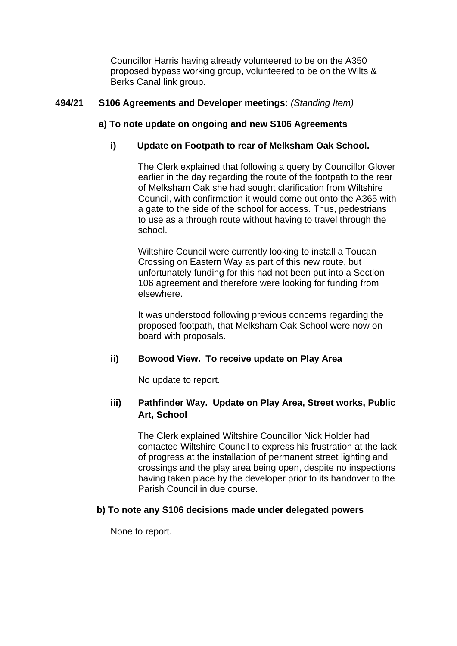Councillor Harris having already volunteered to be on the A350 proposed bypass working group, volunteered to be on the Wilts & Berks Canal link group.

# **494/21 S106 Agreements and Developer meetings:** *(Standing Item)*

# **a) To note update on ongoing and new S106 Agreements**

# **i) Update on Footpath to rear of Melksham Oak School.**

The Clerk explained that following a query by Councillor Glover earlier in the day regarding the route of the footpath to the rear of Melksham Oak she had sought clarification from Wiltshire Council, with confirmation it would come out onto the A365 with a gate to the side of the school for access. Thus, pedestrians to use as a through route without having to travel through the school.

Wiltshire Council were currently looking to install a Toucan Crossing on Eastern Way as part of this new route, but unfortunately funding for this had not been put into a Section 106 agreement and therefore were looking for funding from elsewhere.

It was understood following previous concerns regarding the proposed footpath, that Melksham Oak School were now on board with proposals.

# **ii) Bowood View. To receive update on Play Area**

No update to report.

# **iii) Pathfinder Way. Update on Play Area, Street works, Public Art, School**

The Clerk explained Wiltshire Councillor Nick Holder had contacted Wiltshire Council to express his frustration at the lack of progress at the installation of permanent street lighting and crossings and the play area being open, despite no inspections having taken place by the developer prior to its handover to the Parish Council in due course.

# **b) To note any S106 decisions made under delegated powers**

None to report.